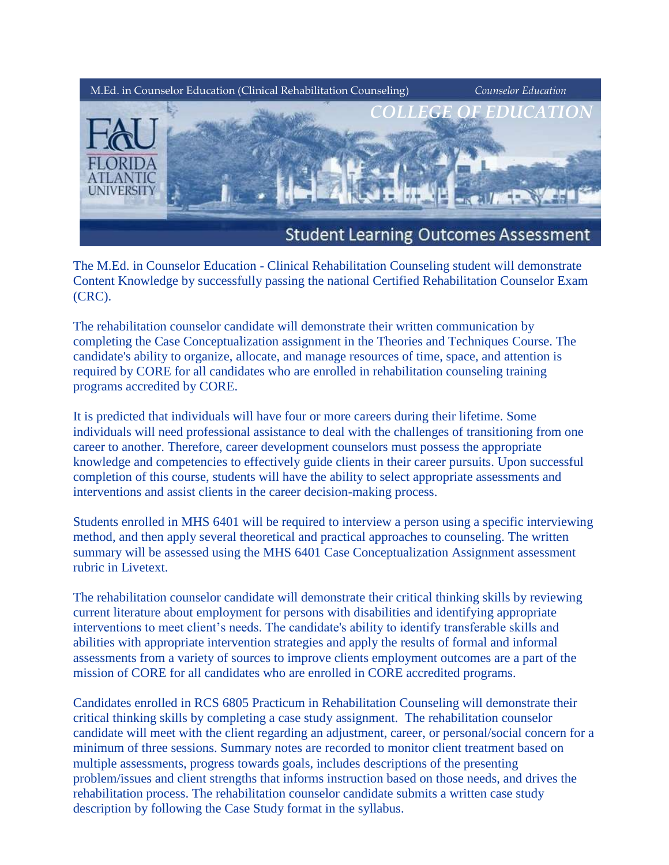

The M.Ed. in Counselor Education - Clinical Rehabilitation Counseling student will demonstrate Content Knowledge by successfully passing the national Certified Rehabilitation Counselor Exam (CRC).

The rehabilitation counselor candidate will demonstrate their written communication by completing the Case Conceptualization assignment in the Theories and Techniques Course. The candidate's ability to organize, allocate, and manage resources of time, space, and attention is required by CORE for all candidates who are enrolled in rehabilitation counseling training programs accredited by CORE.

It is predicted that individuals will have four or more careers during their lifetime. Some individuals will need professional assistance to deal with the challenges of transitioning from one career to another. Therefore, career development counselors must possess the appropriate knowledge and competencies to effectively guide clients in their career pursuits. Upon successful completion of this course, students will have the ability to select appropriate assessments and interventions and assist clients in the career decision-making process.

Students enrolled in MHS 6401 will be required to interview a person using a specific interviewing method, and then apply several theoretical and practical approaches to counseling. The written summary will be assessed using the MHS 6401 Case Conceptualization Assignment assessment rubric in Livetext.

The rehabilitation counselor candidate will demonstrate their critical thinking skills by reviewing current literature about employment for persons with disabilities and identifying appropriate interventions to meet client's needs. The candidate's ability to identify transferable skills and abilities with appropriate intervention strategies and apply the results of formal and informal assessments from a variety of sources to improve clients employment outcomes are a part of the mission of CORE for all candidates who are enrolled in CORE accredited programs.

Candidates enrolled in RCS 6805 Practicum in Rehabilitation Counseling will demonstrate their critical thinking skills by completing a case study assignment. The rehabilitation counselor candidate will meet with the client regarding an adjustment, career, or personal/social concern for a minimum of three sessions. Summary notes are recorded to monitor client treatment based on multiple assessments, progress towards goals, includes descriptions of the presenting problem/issues and client strengths that informs instruction based on those needs, and drives the rehabilitation process. The rehabilitation counselor candidate submits a written case study description by following the Case Study format in the syllabus.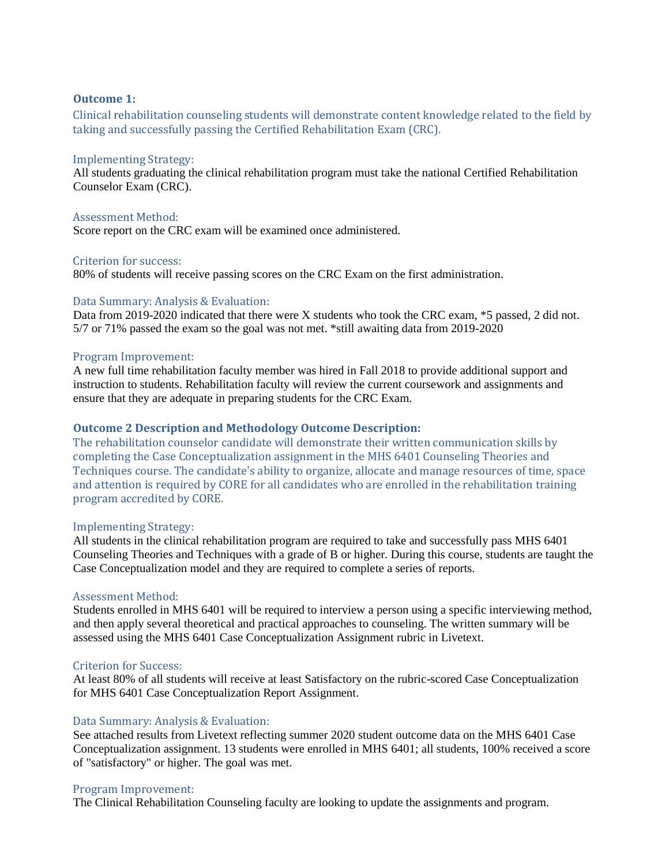# **Outcome 1:**

Clinical rehabilitation counseling students will demonstrate content knowledge related to the field by taking and successfully passing the Certified Rehabilitation Exam (CRC).

# Implementing Strategy:

All students graduating the clinical rehabilitation program must take the national Certified Rehabilitation Counselor Exam (CRC).

#### Assessment Method:

Score report on the CRC exam will be examined once administered.

# Criterion for success:

80% of students will receive passing scores on the CRC Exam on the first administration.

# Data Summary: Analysis & Evaluation:

Data from 2019-2020 indicated that there were X students who took the CRC exam, \*5 passed, 2 did not. 5/7 or 71% passed the exam so the goal was not met. \*still awaiting data from 2019-2020

#### Program Improvement:

A new full time rehabilitation faculty member was hired in Fall 2018 to provide additional support and instruction to students. Rehabilitation faculty will review the current coursework and assignments and ensure that they are adequate in preparing students for the CRC Exam.

# **Outcome 2 Description and Methodology Outcome Description:**

The rehabilitation counselor candidate will demonstrate their written communication skills by completing the Case Conceptualization assignment in the MHS 6401 Counseling Theories and Techniques course. The candidate's ability to organize, allocate and manage resources of time, space and attention is required by CORE for all candidates who are enrolled in the rehabilitation training program accredited by CORE.

#### Implementing Strategy:

All students in the clinical rehabilitation program are required to take and successfully pass MHS 6401 Counseling Theories and Techniques with a grade of B or higher. During this course, students are taught the Case Conceptualization model and they are required to complete a series of reports.

#### Assessment Method:

Students enrolled in MHS 6401 will be required to interview a person using a specific interviewing method, and then apply several theoretical and practical approaches to counseling. The written summary will be assessed using the MHS 6401 Case Conceptualization Assignment rubric in Livetext.

# Criterion for Success:

At least 80% of all students will receive at least Satisfactory on the rubric-scored Case Conceptualization for MHS 6401 Case Conceptualization Report Assignment.

# Data Summary: Analysis & Evaluation:

See attached results from Livetext reflecting summer 2020 student outcome data on the MHS 6401 Case Conceptualization assignment. 13 students were enrolled in MHS 6401; all students, 100% received a score of "satisfactory" or higher. The goal was met.

# Program Improvement:

The Clinical Rehabilitation Counseling faculty are looking to update the assignments and program.